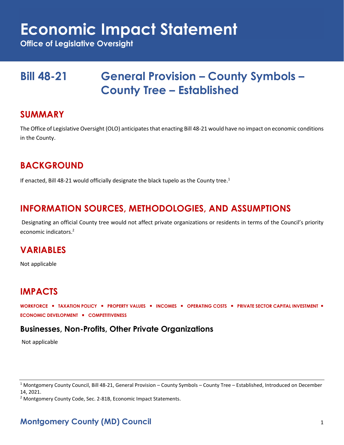## **Economic Impact Statement**

**Office of Legislative Oversight**

## **Bill 48-21 General Provision – County Symbols – County Tree – Established**

#### **SUMMARY**

The Office of Legislative Oversight (OLO) anticipates that enacting Bill 48-21 would have no impact on economic conditions in the County.

### **BACKGROUND**

If enacted, Bill 48-21 would officially designate the black tupelo as the County tree.<sup>1</sup>

#### **INFORMATION SOURCES, METHODOLOGIES, AND ASSUMPTIONS**

Designating an official County tree would not affect private organizations or residents in terms of the Council's priority economic indicators.<sup>2</sup>

#### **VARIABLES**

Not applicable

### **IMPACTS**

**WORKFORCE** ▪ **TAXATION POLICY** ▪ **PROPERTY VALUES** ▪ **INCOMES** ▪ **OPERATING COSTS** ▪ **PRIVATE SECTOR CAPITAL INVESTMENT** ▪ **ECONOMIC DEVELOPMENT** ▪ **COMPETITIVENESS**

#### **Businesses, Non-Profits, Other Private Organizations**

Not applicable

<sup>2</sup> Montgomery County Code, Sec. 2-81B, Economic Impact Statements.

#### **Montgomery County (MD) Council** 1

<sup>1</sup> Montgomery County Council, Bill 48-21, General Provision – County Symbols – County Tree – Established, Introduced on December 14, 2021.